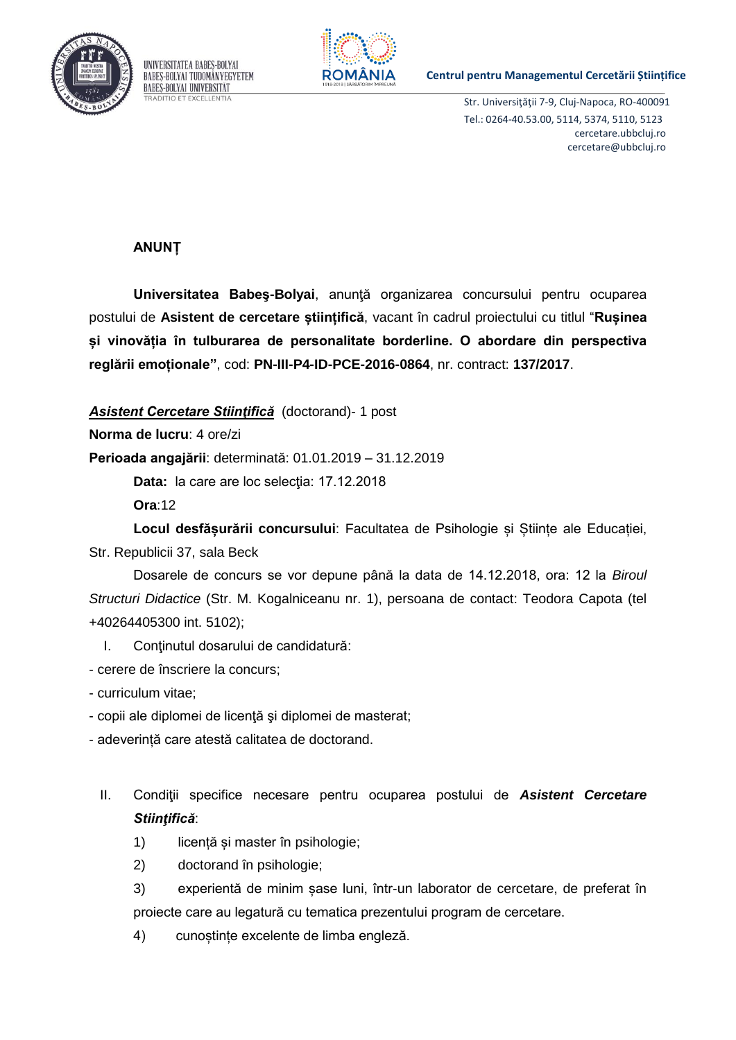



## **Centrul pentru Managementul Cercetării Științifice**

Str. Universiţăţii 7-9, Cluj-Napoca, RO-400091 Tel.: 0264-40.53.00, 5114, 5374, 5110, 5123 cercetare.ubbcluj.ro cercetare@ubbcluj.ro

## **ANUNȚ**

**Universitatea Babeş-Bolyai**, anunţă organizarea concursului pentru ocuparea postului de **Asistent de cercetare științifică**, vacant în cadrul proiectului cu titlul "**Rușinea și vinovăția în tulburarea de personalitate borderline. O abordare din perspectiva reglării emoționale"**, cod: **PN-III-P4-ID-PCE-2016-0864**, nr. contract: **137/2017**.

*Asistent Cercetare Stiinţifică* (doctorand)- 1 post

**Norma de lucru**: 4 ore/zi

**Perioada angajării**: determinată: 01.01.2019 – 31.12.2019

Data: la care are loc selecția: 17.12.2018

**Ora**:12

**Locul desfășurării concursului**: Facultatea de Psihologie și Științe ale Educației, Str. Republicii 37, sala Beck

Dosarele de concurs se vor depune până la data de 14.12.2018, ora: 12 la *Biroul Structuri Didactice* (Str. M. Kogalniceanu nr. 1), persoana de contact: Teodora Capota (tel +40264405300 int. 5102);

I. Conţinutul dosarului de candidatură:

- cerere de înscriere la concurs;

- curriculum vitae;
- copii ale diplomei de licenţă şi diplomei de masterat;
- adeverință care atestă calitatea de doctorand.
	- II. Condiţii specifice necesare pentru ocuparea postului de *Asistent Cercetare Stiinţifică*:
		- 1) licență și master în psihologie;
		- 2) doctorand în psihologie;
		- 3) experientă de minim șase luni, într-un laborator de cercetare, de preferat în proiecte care au legatură cu tematica prezentului program de cercetare.
		- 4) cunoștințe excelente de limba engleză.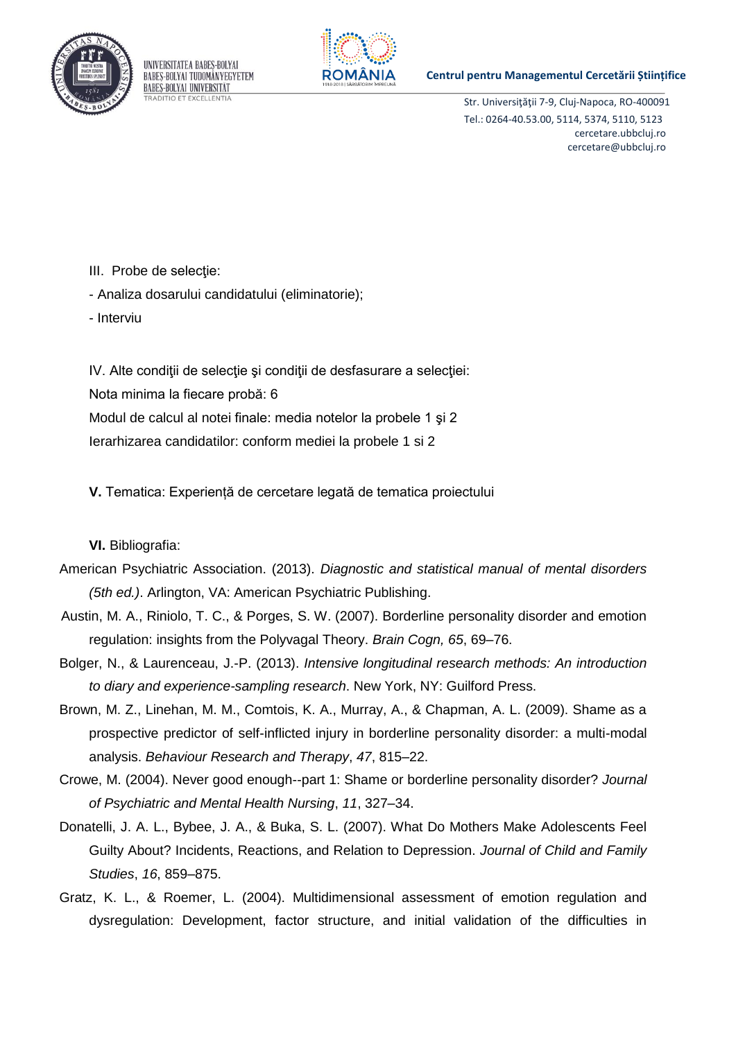

UNIVERSITATEA BABES-BOLYAI BABES-BOLYAI TUDOMÁNYEGYETEM **BABES-BOLYAI UNIVERSITÄT ADITIO ET EXCELLENTIA** 



## **Centrul pentru Managementul Cercetării Științifice**

Str. Universiţăţii 7-9, Cluj-Napoca, RO-400091 Tel.: 0264-40.53.00, 5114, 5374, 5110, 5123 cercetare.ubbcluj.ro cercetare@ubbcluj.ro

- III. Probe de selecţie:
- Analiza dosarului candidatului (eliminatorie);
- Interviu

IV. Alte condiţii de selecţie şi condiţii de desfasurare a selecţiei: Nota minima la fiecare probă: 6 Modul de calcul al notei finale: media notelor la probele 1 şi 2 Ierarhizarea candidatilor: conform mediei la probele 1 si 2

**V.** Tematica: Experiență de cercetare legată de tematica proiectului

**VI.** Bibliografia:

- American Psychiatric Association. (2013). *Diagnostic and statistical manual of mental disorders (5th ed.)*. Arlington, VA: American Psychiatric Publishing.
- Austin, M. A., Riniolo, T. C., & Porges, S. W. (2007). Borderline personality disorder and emotion regulation: insights from the Polyvagal Theory. *Brain Cogn, 65*, 69–76.
- Bolger, N., & Laurenceau, J.-P. (2013). *Intensive longitudinal research methods: An introduction to diary and experience-sampling research*. New York, NY: Guilford Press.
- Brown, M. Z., Linehan, M. M., Comtois, K. A., Murray, A., & Chapman, A. L. (2009). Shame as a prospective predictor of self-inflicted injury in borderline personality disorder: a multi-modal analysis. *Behaviour Research and Therapy*, *47*, 815–22.
- Crowe, M. (2004). Never good enough--part 1: Shame or borderline personality disorder? *Journal of Psychiatric and Mental Health Nursing*, *11*, 327–34.
- Donatelli, J. A. L., Bybee, J. A., & Buka, S. L. (2007). What Do Mothers Make Adolescents Feel Guilty About? Incidents, Reactions, and Relation to Depression. *Journal of Child and Family Studies*, *16*, 859–875.
- Gratz, K. L., & Roemer, L. (2004). Multidimensional assessment of emotion regulation and dysregulation: Development, factor structure, and initial validation of the difficulties in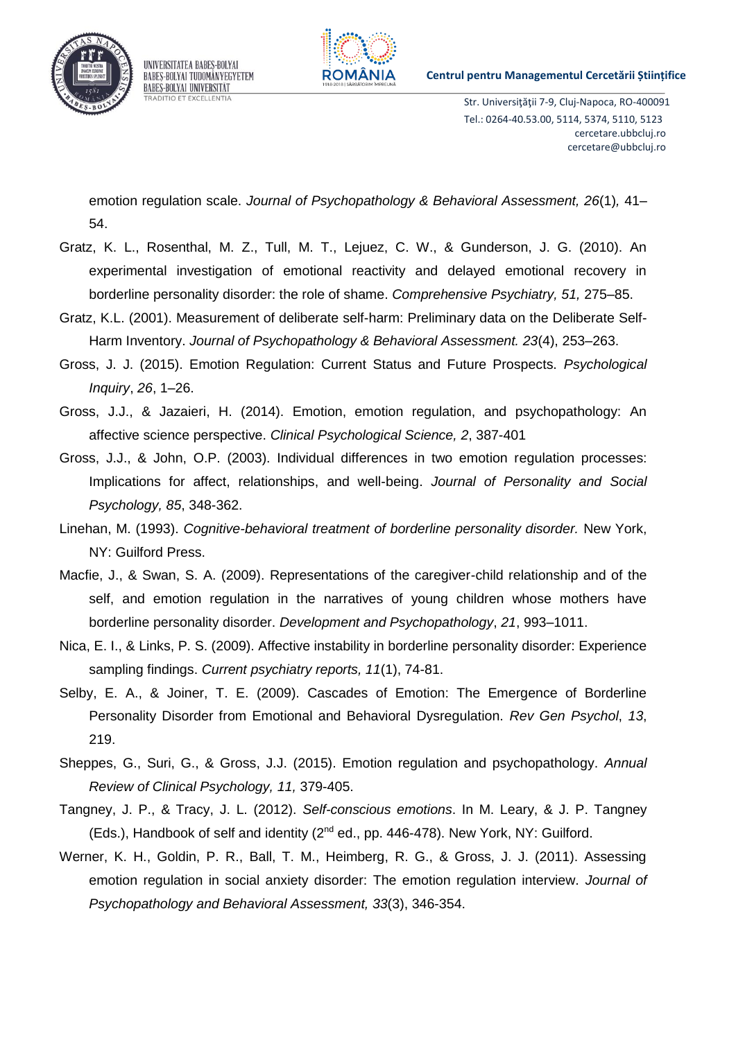

UNIVERSITATEA BABES-BOLYAI BABES-BOLYAI TUDOMÁNYEGYETEM **BABES-BOLYAI UNIVERSITÄT RADITIO ET EXCELLENTIA** 



**Centrul pentru Managementul Cercetării Științifice** 

Str. Universiţăţii 7-9, Cluj-Napoca, RO-400091 Tel.: 0264-40.53.00, 5114, 5374, 5110, 5123 cercetare.ubbcluj.ro cercetare@ubbcluj.ro

emotion regulation scale. *Journal of Psychopathology & Behavioral Assessment, 26*(1)*,* 41– 54.

- Gratz, K. L., Rosenthal, M. Z., Tull, M. T., Lejuez, C. W., & Gunderson, J. G. (2010). An experimental investigation of emotional reactivity and delayed emotional recovery in borderline personality disorder: the role of shame. *Comprehensive Psychiatry, 51,* 275–85.
- Gratz, K.L. (2001). Measurement of deliberate self-harm: Preliminary data on the Deliberate Self-Harm Inventory. *Journal of Psychopathology & Behavioral Assessment. 23*(4), 253–263.
- Gross, J. J. (2015). Emotion Regulation: Current Status and Future Prospects. *Psychological Inquiry*, *26*, 1–26.
- Gross, J.J., & Jazaieri, H. (2014). Emotion, emotion regulation, and psychopathology: An affective science perspective. *Clinical Psychological Science, 2*, 387-401
- Gross, J.J., & John, O.P. (2003). Individual differences in two emotion regulation processes: Implications for affect, relationships, and well-being. *Journal of Personality and Social Psychology, 85*, 348-362.
- Linehan, M. (1993). *Cognitive-behavioral treatment of borderline personality disorder.* New York, NY: Guilford Press.
- Macfie, J., & Swan, S. A. (2009). Representations of the caregiver-child relationship and of the self, and emotion regulation in the narratives of young children whose mothers have borderline personality disorder. *Development and Psychopathology*, *21*, 993–1011.
- Nica, E. I., & Links, P. S. (2009). Affective instability in borderline personality disorder: Experience sampling findings. *Current psychiatry reports, 11*(1), 74-81.
- Selby, E. A., & Joiner, T. E. (2009). Cascades of Emotion: The Emergence of Borderline Personality Disorder from Emotional and Behavioral Dysregulation. *Rev Gen Psychol*, *13*, 219.
- Sheppes, G., Suri, G., & Gross, J.J. (2015). Emotion regulation and psychopathology. *Annual Review of Clinical Psychology, 11,* 379-405.
- Tangney, J. P., & Tracy, J. L. (2012). *Self-conscious emotions*. In M. Leary, & J. P. Tangney  $(Eds.)$ , Handbook of self and identity  $(2^{nd}$  ed., pp. 446-478). New York, NY: Guilford.
- Werner, K. H., Goldin, P. R., Ball, T. M., Heimberg, R. G., & Gross, J. J. (2011). Assessing emotion regulation in social anxiety disorder: The emotion regulation interview. *Journal of Psychopathology and Behavioral Assessment, 33*(3), 346-354.